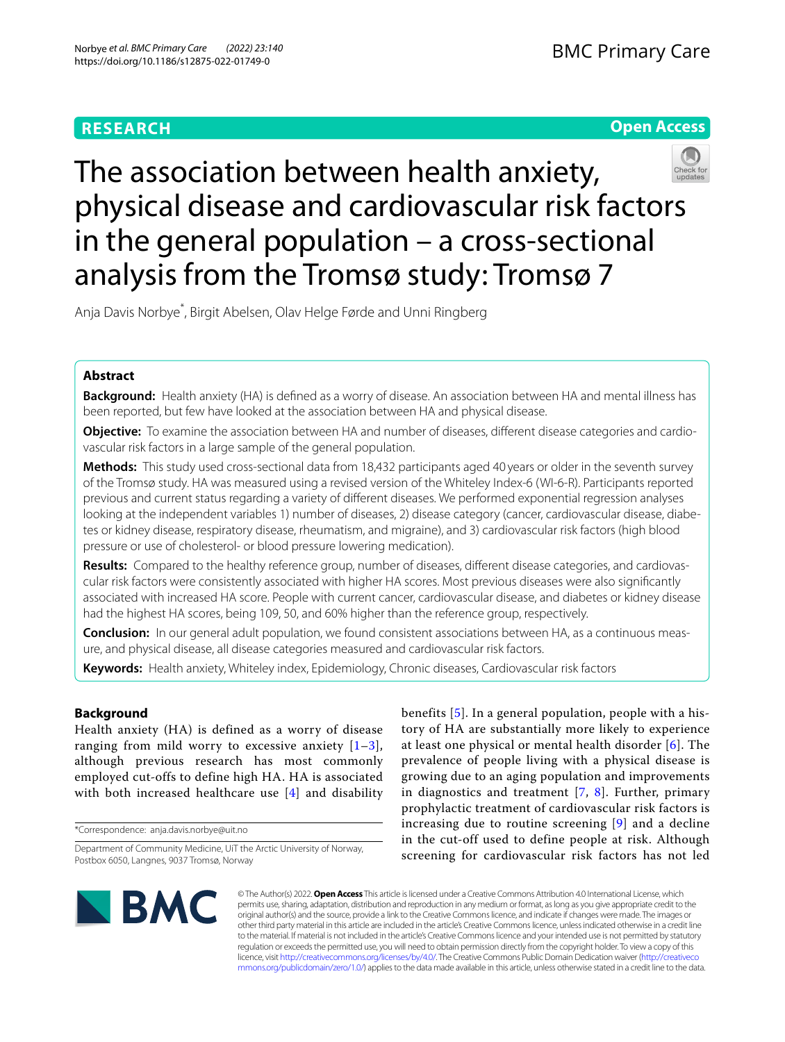# **RESEARCH**





# The association between health anxiety, physical disease and cardiovascular risk factors in the general population – a cross-sectional analysis from the Tromsø study: Tromsø 7

Anja Davis Norbye\* , Birgit Abelsen, Olav Helge Førde and Unni Ringberg

# **Abstract**

**Background:** Health anxiety (HA) is defned as a worry of disease. An association between HA and mental illness has been reported, but few have looked at the association between HA and physical disease.

**Objective:** To examine the association between HA and number of diseases, diferent disease categories and cardiovascular risk factors in a large sample of the general population.

**Methods:** This study used cross-sectional data from 18,432 participants aged 40 years or older in the seventh survey of the Tromsø study. HA was measured using a revised version of the Whiteley Index-6 (WI-6-R). Participants reported previous and current status regarding a variety of diferent diseases. We performed exponential regression analyses looking at the independent variables 1) number of diseases, 2) disease category (cancer, cardiovascular disease, diabetes or kidney disease, respiratory disease, rheumatism, and migraine), and 3) cardiovascular risk factors (high blood pressure or use of cholesterol- or blood pressure lowering medication).

**Results:** Compared to the healthy reference group, number of diseases, diferent disease categories, and cardiovascular risk factors were consistently associated with higher HA scores. Most previous diseases were also signifcantly associated with increased HA score. People with current cancer, cardiovascular disease, and diabetes or kidney disease had the highest HA scores, being 109, 50, and 60% higher than the reference group, respectively.

**Conclusion:** In our general adult population, we found consistent associations between HA, as a continuous measure, and physical disease, all disease categories measured and cardiovascular risk factors.

**Keywords:** Health anxiety, Whiteley index, Epidemiology, Chronic diseases, Cardiovascular risk factors

## **Background**

Health anxiety (HA) is defined as a worry of disease ranging from mild worry to excessive anxiety  $[1-3]$  $[1-3]$ , although previous research has most commonly employed cut-offs to define high HA. HA is associated with both increased healthcare use [\[4](#page-7-2)] and disability

\*Correspondence: anja.davis.norbye@uit.no

benefits [[5\]](#page-7-3). In a general population, people with a history of HA are substantially more likely to experience at least one physical or mental health disorder [\[6](#page-8-0)]. The prevalence of people living with a physical disease is growing due to an aging population and improvements in diagnostics and treatment  $[7, 8]$  $[7, 8]$  $[7, 8]$  $[7, 8]$ . Further, primary prophylactic treatment of cardiovascular risk factors is increasing due to routine screening [[9\]](#page-8-3) and a decline in the cut-off used to define people at risk. Although screening for cardiovascular risk factors has not led



© The Author(s) 2022. **Open Access** This article is licensed under a Creative Commons Attribution 4.0 International License, which permits use, sharing, adaptation, distribution and reproduction in any medium or format, as long as you give appropriate credit to the original author(s) and the source, provide a link to the Creative Commons licence, and indicate if changes were made. The images or other third party material in this article are included in the article's Creative Commons licence, unless indicated otherwise in a credit line to the material. If material is not included in the article's Creative Commons licence and your intended use is not permitted by statutory regulation or exceeds the permitted use, you will need to obtain permission directly from the copyright holder. To view a copy of this licence, visit [http://creativecommons.org/licenses/by/4.0/.](http://creativecommons.org/licenses/by/4.0/) The Creative Commons Public Domain Dedication waiver ([http://creativeco](http://creativecommons.org/publicdomain/zero/1.0/) [mmons.org/publicdomain/zero/1.0/](http://creativecommons.org/publicdomain/zero/1.0/)) applies to the data made available in this article, unless otherwise stated in a credit line to the data.

Department of Community Medicine, UiT the Arctic University of Norway, Postbox 6050, Langnes, 9037 Tromsø, Norway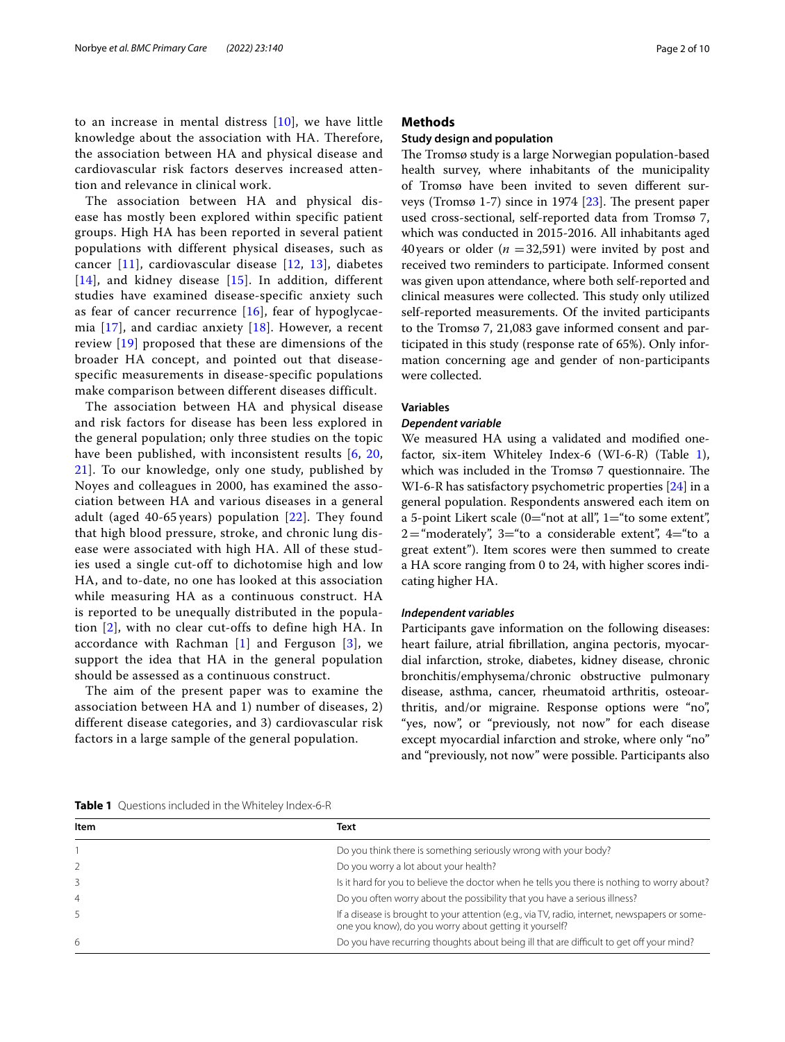to an increase in mental distress [[10\]](#page-8-4), we have little knowledge about the association with HA. Therefore, the association between HA and physical disease and cardiovascular risk factors deserves increased attention and relevance in clinical work.

The association between HA and physical disease has mostly been explored within specific patient groups. High HA has been reported in several patient populations with different physical diseases, such as cancer [[11\]](#page-8-5), cardiovascular disease [[12](#page-8-6), [13](#page-8-7)], diabetes [[14](#page-8-8)], and kidney disease [[15](#page-8-9)]. In addition, different studies have examined disease-specific anxiety such as fear of cancer recurrence  $[16]$  $[16]$  $[16]$ , fear of hypoglycaemia  $[17]$  $[17]$  $[17]$ , and cardiac anxiety  $[18]$  $[18]$  $[18]$ . However, a recent review [[19\]](#page-8-13) proposed that these are dimensions of the broader HA concept, and pointed out that diseasespecific measurements in disease-specific populations make comparison between different diseases difficult.

The association between HA and physical disease and risk factors for disease has been less explored in the general population; only three studies on the topic have been published, with inconsistent results [[6,](#page-8-0) [20](#page-8-14), [21\]](#page-8-15). To our knowledge, only one study, published by Noyes and colleagues in 2000, has examined the association between HA and various diseases in a general adult (aged 40-65 years) population [[22\]](#page-8-16). They found that high blood pressure, stroke, and chronic lung disease were associated with high HA. All of these studies used a single cut-off to dichotomise high and low HA, and to-date, no one has looked at this association while measuring HA as a continuous construct. HA is reported to be unequally distributed in the population [[2](#page-7-4)], with no clear cut-offs to define high HA. In accordance with Rachman  $[1]$  $[1]$  and Ferguson  $[3]$  $[3]$  $[3]$ , we support the idea that HA in the general population should be assessed as a continuous construct.

The aim of the present paper was to examine the association between HA and 1) number of diseases, 2) different disease categories, and 3) cardiovascular risk factors in a large sample of the general population.

## **Methods**

## **Study design and population**

The Tromsø study is a large Norwegian population-based health survey, where inhabitants of the municipality of Tromsø have been invited to seven diferent surveys (Tromsø 1-7) since in 1974  $[23]$  $[23]$ . The present paper used cross-sectional, self-reported data from Tromsø 7, which was conducted in 2015-2016. All inhabitants aged 40 years or older  $(n = 32,591)$  were invited by post and received two reminders to participate. Informed consent was given upon attendance, where both self-reported and clinical measures were collected. This study only utilized self-reported measurements. Of the invited participants to the Tromsø 7, 21,083 gave informed consent and participated in this study (response rate of 65%). Only information concerning age and gender of non-participants were collected.

## **Variables**

## *Dependent variable*

We measured HA using a validated and modifed onefactor, six-item Whiteley Index-6 (WI-6-R) (Table [1](#page-1-0)), which was included in the Tromsø 7 questionnaire. The WI-6-R has satisfactory psychometric properties [[24](#page-8-18)] in a general population. Respondents answered each item on a 5-point Likert scale ( $0$ ="not at all",  $1$ ="to some extent",  $2=$ "moderately",  $3=$ "to a considerable extent",  $4=$ "to a great extent"). Item scores were then summed to create a HA score ranging from 0 to 24, with higher scores indicating higher HA.

#### *Independent variables*

Participants gave information on the following diseases: heart failure, atrial fibrillation, angina pectoris, myocardial infarction, stroke, diabetes, kidney disease, chronic bronchitis/emphysema/chronic obstructive pulmonary disease, asthma, cancer, rheumatoid arthritis, osteoarthritis, and/or migraine. Response options were "no", "yes, now", or "previously, not now" for each disease except myocardial infarction and stroke, where only "no" and "previously, not now" were possible. Participants also

<span id="page-1-0"></span>**Table 1** Questions included in the Whiteley Index-6-R

| Item          | Text                                                                                                                                                    |
|---------------|---------------------------------------------------------------------------------------------------------------------------------------------------------|
|               | Do you think there is something seriously wrong with your body?                                                                                         |
| $\mathcal{L}$ | Do you worry a lot about your health?                                                                                                                   |
|               | Is it hard for you to believe the doctor when he tells you there is nothing to worry about?                                                             |
| 4             | Do you often worry about the possibility that you have a serious illness?                                                                               |
|               | If a disease is brought to your attention (e.g., via TV, radio, internet, newspapers or some-<br>one you know), do you worry about getting it yourself? |
| 6             | Do you have recurring thoughts about being ill that are difficult to get off your mind?                                                                 |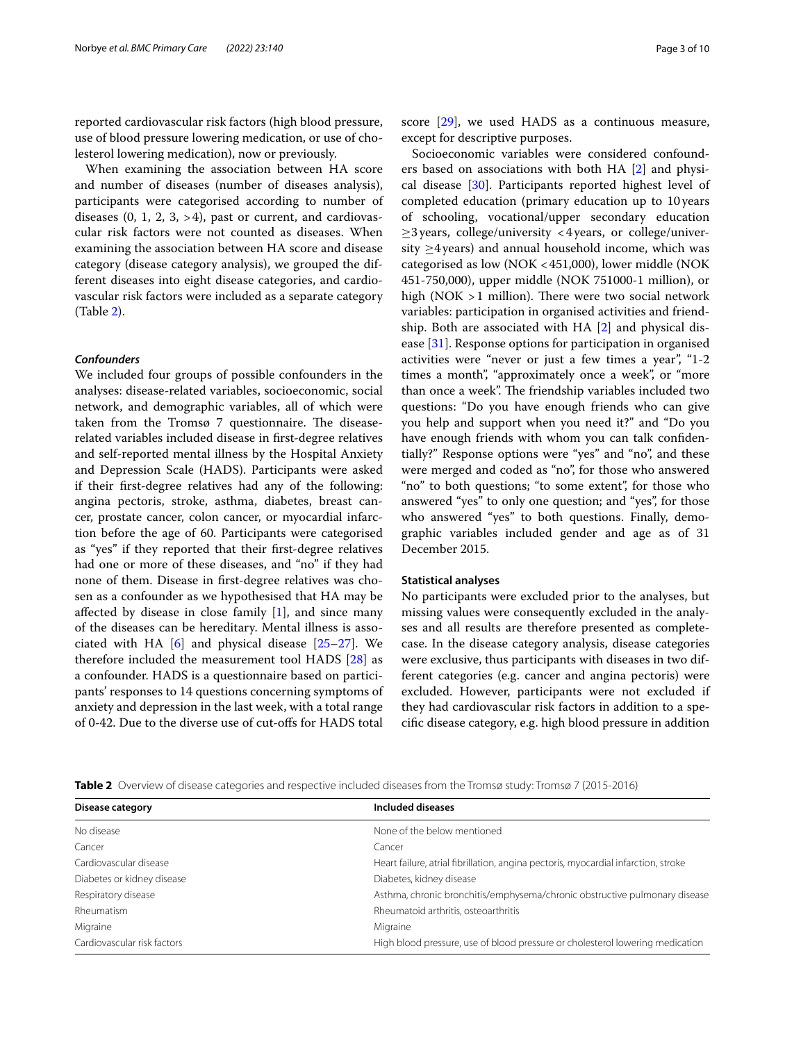reported cardiovascular risk factors (high blood pressure, use of blood pressure lowering medication, or use of cholesterol lowering medication), now or previously.

When examining the association between HA score and number of diseases (number of diseases analysis), participants were categorised according to number of diseases  $(0, 1, 2, 3, > 4)$ , past or current, and cardiovascular risk factors were not counted as diseases. When examining the association between HA score and disease category (disease category analysis), we grouped the different diseases into eight disease categories, and cardiovascular risk factors were included as a separate category (Table [2](#page-2-0)).

## *Confounders*

We included four groups of possible confounders in the analyses: disease-related variables, socioeconomic, social network, and demographic variables, all of which were taken from the Tromsø 7 questionnaire. The diseaserelated variables included disease in frst-degree relatives and self-reported mental illness by the Hospital Anxiety and Depression Scale (HADS). Participants were asked if their frst-degree relatives had any of the following: angina pectoris, stroke, asthma, diabetes, breast cancer, prostate cancer, colon cancer, or myocardial infarction before the age of 60. Participants were categorised as "yes" if they reported that their frst-degree relatives had one or more of these diseases, and "no" if they had none of them. Disease in frst-degree relatives was chosen as a confounder as we hypothesised that HA may be affected by disease in close family  $[1]$  $[1]$  $[1]$ , and since many of the diseases can be hereditary. Mental illness is associated with HA [\[6](#page-8-0)] and physical disease [[25–](#page-8-19)[27](#page-8-20)]. We therefore included the measurement tool HADS [[28\]](#page-8-21) as a confounder. HADS is a questionnaire based on participants' responses to 14 questions concerning symptoms of anxiety and depression in the last week, with a total range of 0-42. Due to the diverse use of cut-ofs for HADS total score [[29](#page-8-22)], we used HADS as a continuous measure, except for descriptive purposes.

Socioeconomic variables were considered confounders based on associations with both HA [\[2](#page-7-4)] and physical disease [\[30](#page-8-23)]. Participants reported highest level of completed education (primary education up to 10years of schooling, vocational/upper secondary education  $\geq$ 3 years, college/university <4 years, or college/university  $\geq$ 4 years) and annual household income, which was categorised as low (NOK <451,000), lower middle (NOK 451-750,000), upper middle (NOK 751000-1 million), or high (NOK  $>1$  million). There were two social network variables: participation in organised activities and friendship. Both are associated with HA [\[2](#page-7-4)] and physical disease [[31](#page-8-24)]. Response options for participation in organised activities were "never or just a few times a year", "1-2 times a month", "approximately once a week", or "more than once a week". The friendship variables included two questions: "Do you have enough friends who can give you help and support when you need it?" and "Do you have enough friends with whom you can talk confdentially?" Response options were "yes" and "no", and these were merged and coded as "no", for those who answered "no" to both questions; "to some extent", for those who answered "yes" to only one question; and "yes", for those who answered "yes" to both questions. Finally, demographic variables included gender and age as of 31 December 2015.

## **Statistical analyses**

No participants were excluded prior to the analyses, but missing values were consequently excluded in the analyses and all results are therefore presented as completecase. In the disease category analysis, disease categories were exclusive, thus participants with diseases in two different categories (e.g. cancer and angina pectoris) were excluded. However, participants were not excluded if they had cardiovascular risk factors in addition to a specifc disease category, e.g. high blood pressure in addition

<span id="page-2-0"></span>

|  |  | <b>Table 2</b> Overview of disease categories and respective included diseases from the Tromsø study: Tromsø 7 (2015-2016) |  |
|--|--|----------------------------------------------------------------------------------------------------------------------------|--|
|  |  |                                                                                                                            |  |

| Disease category            | Included diseases                                                                  |  |  |
|-----------------------------|------------------------------------------------------------------------------------|--|--|
| No disease                  | None of the below mentioned                                                        |  |  |
| Cancer                      | Cancer                                                                             |  |  |
| Cardiovascular disease      | Heart failure, atrial fibrillation, angina pectoris, myocardial infarction, stroke |  |  |
| Diabetes or kidney disease  | Diabetes, kidney disease                                                           |  |  |
| Respiratory disease         | Asthma, chronic bronchitis/emphysema/chronic obstructive pulmonary disease         |  |  |
| Rheumatism                  | Rheumatoid arthritis, osteoarthritis                                               |  |  |
| Migraine                    | Migraine                                                                           |  |  |
| Cardiovascular risk factors | High blood pressure, use of blood pressure or cholesterol lowering medication      |  |  |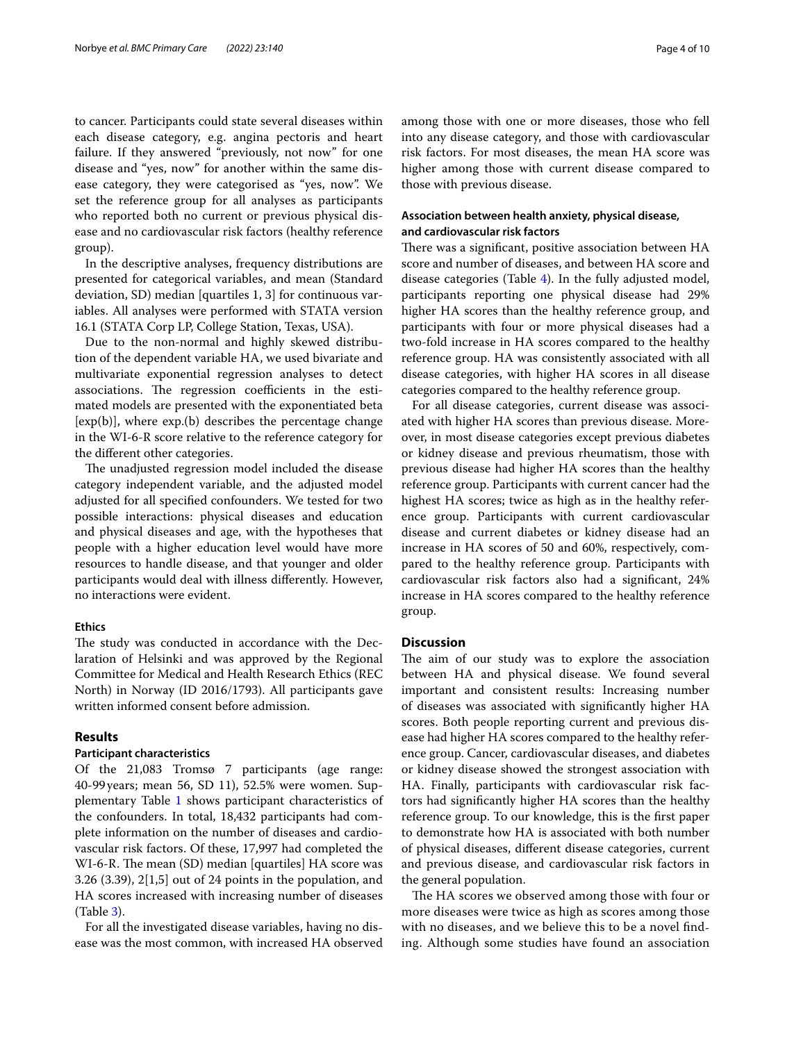to cancer. Participants could state several diseases within each disease category, e.g. angina pectoris and heart failure. If they answered "previously, not now" for one disease and "yes, now" for another within the same disease category, they were categorised as "yes, now". We set the reference group for all analyses as participants who reported both no current or previous physical disease and no cardiovascular risk factors (healthy reference group).

In the descriptive analyses, frequency distributions are presented for categorical variables, and mean (Standard deviation, SD) median [quartiles 1, 3] for continuous variables. All analyses were performed with STATA version 16.1 (STATA Corp LP, College Station, Texas, USA).

Due to the non-normal and highly skewed distribution of the dependent variable HA, we used bivariate and multivariate exponential regression analyses to detect associations. The regression coefficients in the estimated models are presented with the exponentiated beta  $[exp(b)]$ , where  $exp(b)$  describes the percentage change in the WI-6-R score relative to the reference category for the diferent other categories.

The unadjusted regression model included the disease category independent variable, and the adjusted model adjusted for all specifed confounders. We tested for two possible interactions: physical diseases and education and physical diseases and age, with the hypotheses that people with a higher education level would have more resources to handle disease, and that younger and older participants would deal with illness diferently. However, no interactions were evident.

#### **Ethics**

The study was conducted in accordance with the Declaration of Helsinki and was approved by the Regional Committee for Medical and Health Research Ethics (REC North) in Norway (ID 2016/1793). All participants gave written informed consent before admission.

## **Results**

## **Participant characteristics**

Of the 21,083 Tromsø 7 participants (age range: 40-99years; mean 56, SD 11), 52.5% were women. Supplementary Table [1](#page-7-5) shows participant characteristics of the confounders. In total, 18,432 participants had complete information on the number of diseases and cardiovascular risk factors. Of these, 17,997 had completed the WI-6-R. The mean (SD) median [quartiles] HA score was 3.26 (3.39), 2[1,5] out of 24 points in the population, and HA scores increased with increasing number of diseases (Table [3](#page-4-0)).

For all the investigated disease variables, having no disease was the most common, with increased HA observed among those with one or more diseases, those who fell into any disease category, and those with cardiovascular risk factors. For most diseases, the mean HA score was higher among those with current disease compared to those with previous disease.

## **Association between health anxiety, physical disease, and cardiovascular risk factors**

There was a significant, positive association between HA score and number of diseases, and between HA score and disease categories (Table [4](#page-5-0)). In the fully adjusted model, participants reporting one physical disease had 29% higher HA scores than the healthy reference group, and participants with four or more physical diseases had a two-fold increase in HA scores compared to the healthy reference group. HA was consistently associated with all disease categories, with higher HA scores in all disease categories compared to the healthy reference group.

For all disease categories, current disease was associated with higher HA scores than previous disease. Moreover, in most disease categories except previous diabetes or kidney disease and previous rheumatism, those with previous disease had higher HA scores than the healthy reference group. Participants with current cancer had the highest HA scores; twice as high as in the healthy reference group. Participants with current cardiovascular disease and current diabetes or kidney disease had an increase in HA scores of 50 and 60%, respectively, compared to the healthy reference group. Participants with cardiovascular risk factors also had a signifcant, 24% increase in HA scores compared to the healthy reference group.

## **Discussion**

The aim of our study was to explore the association between HA and physical disease. We found several important and consistent results: Increasing number of diseases was associated with signifcantly higher HA scores. Both people reporting current and previous disease had higher HA scores compared to the healthy reference group. Cancer, cardiovascular diseases, and diabetes or kidney disease showed the strongest association with HA. Finally, participants with cardiovascular risk factors had signifcantly higher HA scores than the healthy reference group. To our knowledge, this is the frst paper to demonstrate how HA is associated with both number of physical diseases, diferent disease categories, current and previous disease, and cardiovascular risk factors in the general population.

The HA scores we observed among those with four or more diseases were twice as high as scores among those with no diseases, and we believe this to be a novel fnding. Although some studies have found an association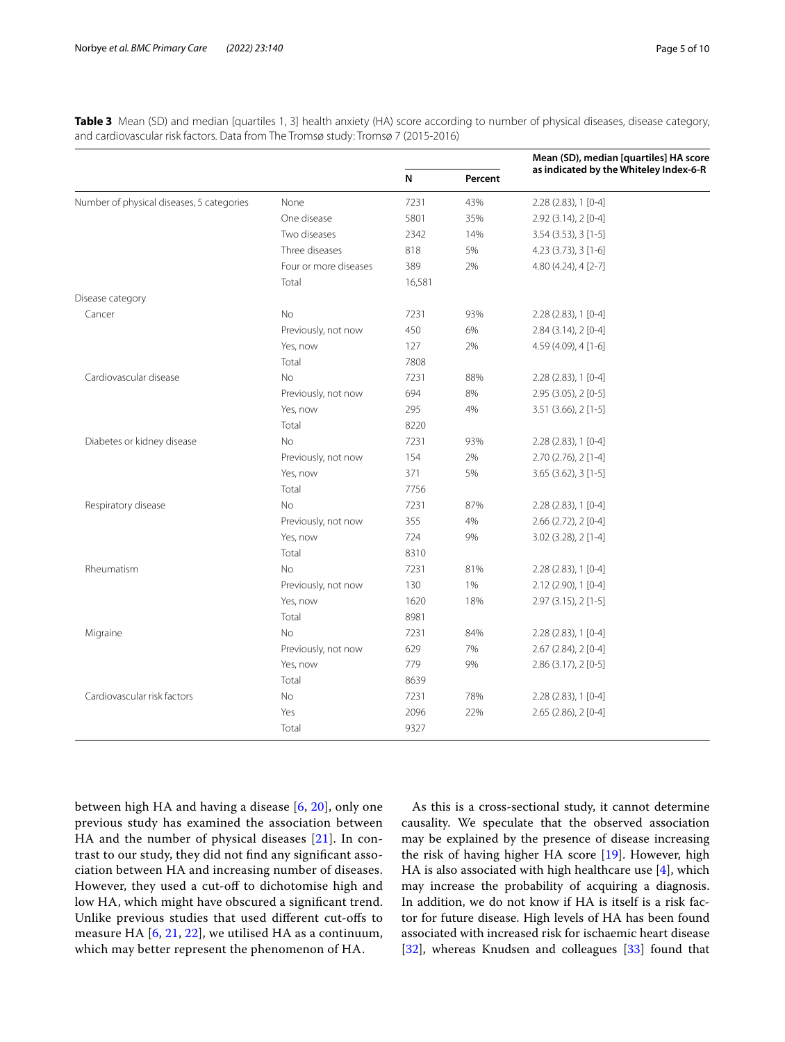<span id="page-4-0"></span>

| Table 3 Mean (SD) and median [quartiles 1, 3] health anxiety (HA) score according to number of physical diseases, disease category, |  |
|-------------------------------------------------------------------------------------------------------------------------------------|--|
| and cardiovascular risk factors. Data from The Tromsø study: Tromsø 7 (2015-2016)                                                   |  |

| as indicated by the Whiteley Index-6-R<br>N<br>Percent<br>Number of physical diseases, 5 categories<br>None<br>7231<br>43%<br>$2.28(2.83), 1[0-4]$<br>One disease<br>35%<br>5801<br>2.92 (3.14), 2 [0-4]<br>Two diseases<br>2342<br>14%<br>$3.54$ (3.53), 3 [1-5]<br>Three diseases<br>5%<br>818<br>4.23 (3.73), 3 [1-6]<br>Four or more diseases<br>389<br>2%<br>4.80 (4.24), 4 [2-7]<br>Total<br>16,581<br>Disease category<br><b>No</b><br>Cancer<br>7231<br>93%<br>2.28 (2.83), 1 [0-4]<br>Previously, not now<br>450<br>6%<br>$2.84(3.14), 2[0-4]$<br>2%<br>Yes, now<br>127<br>4.59 (4.09), 4 [1-6]<br>Total<br>7808<br>Cardiovascular disease<br><b>No</b><br>7231<br>88%<br>2.28 (2.83), 1 [0-4]<br>Previously, not now<br>694<br>8%<br>2.95 (3.05), 2 [0-5]<br>Yes, now<br>295<br>4%<br>3.51 (3.66), 2 [1-5]<br>Total<br>8220<br>Diabetes or kidney disease<br>No<br>93%<br>7231<br>2.28 (2.83), 1 [0-4]<br>Previously, not now<br>154<br>2%<br>2.70 (2.76), 2 [1-4]<br>371<br>5%<br>$3.65$ (3.62), $3$ [1-5]<br>Yes, now<br>Total<br>7756 | Mean (SD), median [quartiles] HA score |
|----------------------------------------------------------------------------------------------------------------------------------------------------------------------------------------------------------------------------------------------------------------------------------------------------------------------------------------------------------------------------------------------------------------------------------------------------------------------------------------------------------------------------------------------------------------------------------------------------------------------------------------------------------------------------------------------------------------------------------------------------------------------------------------------------------------------------------------------------------------------------------------------------------------------------------------------------------------------------------------------------------------------------------------------------|----------------------------------------|
|                                                                                                                                                                                                                                                                                                                                                                                                                                                                                                                                                                                                                                                                                                                                                                                                                                                                                                                                                                                                                                                    |                                        |
|                                                                                                                                                                                                                                                                                                                                                                                                                                                                                                                                                                                                                                                                                                                                                                                                                                                                                                                                                                                                                                                    |                                        |
|                                                                                                                                                                                                                                                                                                                                                                                                                                                                                                                                                                                                                                                                                                                                                                                                                                                                                                                                                                                                                                                    |                                        |
|                                                                                                                                                                                                                                                                                                                                                                                                                                                                                                                                                                                                                                                                                                                                                                                                                                                                                                                                                                                                                                                    |                                        |
|                                                                                                                                                                                                                                                                                                                                                                                                                                                                                                                                                                                                                                                                                                                                                                                                                                                                                                                                                                                                                                                    |                                        |
|                                                                                                                                                                                                                                                                                                                                                                                                                                                                                                                                                                                                                                                                                                                                                                                                                                                                                                                                                                                                                                                    |                                        |
|                                                                                                                                                                                                                                                                                                                                                                                                                                                                                                                                                                                                                                                                                                                                                                                                                                                                                                                                                                                                                                                    |                                        |
|                                                                                                                                                                                                                                                                                                                                                                                                                                                                                                                                                                                                                                                                                                                                                                                                                                                                                                                                                                                                                                                    |                                        |
|                                                                                                                                                                                                                                                                                                                                                                                                                                                                                                                                                                                                                                                                                                                                                                                                                                                                                                                                                                                                                                                    |                                        |
|                                                                                                                                                                                                                                                                                                                                                                                                                                                                                                                                                                                                                                                                                                                                                                                                                                                                                                                                                                                                                                                    |                                        |
|                                                                                                                                                                                                                                                                                                                                                                                                                                                                                                                                                                                                                                                                                                                                                                                                                                                                                                                                                                                                                                                    |                                        |
|                                                                                                                                                                                                                                                                                                                                                                                                                                                                                                                                                                                                                                                                                                                                                                                                                                                                                                                                                                                                                                                    |                                        |
|                                                                                                                                                                                                                                                                                                                                                                                                                                                                                                                                                                                                                                                                                                                                                                                                                                                                                                                                                                                                                                                    |                                        |
|                                                                                                                                                                                                                                                                                                                                                                                                                                                                                                                                                                                                                                                                                                                                                                                                                                                                                                                                                                                                                                                    |                                        |
|                                                                                                                                                                                                                                                                                                                                                                                                                                                                                                                                                                                                                                                                                                                                                                                                                                                                                                                                                                                                                                                    |                                        |
|                                                                                                                                                                                                                                                                                                                                                                                                                                                                                                                                                                                                                                                                                                                                                                                                                                                                                                                                                                                                                                                    |                                        |
|                                                                                                                                                                                                                                                                                                                                                                                                                                                                                                                                                                                                                                                                                                                                                                                                                                                                                                                                                                                                                                                    |                                        |
|                                                                                                                                                                                                                                                                                                                                                                                                                                                                                                                                                                                                                                                                                                                                                                                                                                                                                                                                                                                                                                                    |                                        |
|                                                                                                                                                                                                                                                                                                                                                                                                                                                                                                                                                                                                                                                                                                                                                                                                                                                                                                                                                                                                                                                    |                                        |
|                                                                                                                                                                                                                                                                                                                                                                                                                                                                                                                                                                                                                                                                                                                                                                                                                                                                                                                                                                                                                                                    |                                        |
| Respiratory disease<br><b>No</b><br>7231<br>87%<br>2.28 (2.83), 1 [0-4]                                                                                                                                                                                                                                                                                                                                                                                                                                                                                                                                                                                                                                                                                                                                                                                                                                                                                                                                                                            |                                        |
| 4%<br>Previously, not now<br>355<br>2.66 (2.72), 2 [0-4]                                                                                                                                                                                                                                                                                                                                                                                                                                                                                                                                                                                                                                                                                                                                                                                                                                                                                                                                                                                           |                                        |
| 9%<br>Yes, now<br>724<br>3.02 (3.28), 2 [1-4]                                                                                                                                                                                                                                                                                                                                                                                                                                                                                                                                                                                                                                                                                                                                                                                                                                                                                                                                                                                                      |                                        |
| Total<br>8310                                                                                                                                                                                                                                                                                                                                                                                                                                                                                                                                                                                                                                                                                                                                                                                                                                                                                                                                                                                                                                      |                                        |
| Rheumatism<br><b>No</b><br>7231<br>81%<br>$2.28(2.83), 1[0-4]$                                                                                                                                                                                                                                                                                                                                                                                                                                                                                                                                                                                                                                                                                                                                                                                                                                                                                                                                                                                     |                                        |
| 1%<br>Previously, not now<br>130<br>2.12 (2.90), 1 [0-4]                                                                                                                                                                                                                                                                                                                                                                                                                                                                                                                                                                                                                                                                                                                                                                                                                                                                                                                                                                                           |                                        |
| 1620<br>18%<br>2.97 (3.15), 2 [1-5]<br>Yes, now                                                                                                                                                                                                                                                                                                                                                                                                                                                                                                                                                                                                                                                                                                                                                                                                                                                                                                                                                                                                    |                                        |
| Total<br>8981                                                                                                                                                                                                                                                                                                                                                                                                                                                                                                                                                                                                                                                                                                                                                                                                                                                                                                                                                                                                                                      |                                        |
| <b>No</b><br>84%<br>7231<br>2.28 (2.83), 1 [0-4]<br>Migraine                                                                                                                                                                                                                                                                                                                                                                                                                                                                                                                                                                                                                                                                                                                                                                                                                                                                                                                                                                                       |                                        |
| Previously, not now<br>629<br>7%<br>2.67 (2.84), 2 [0-4]                                                                                                                                                                                                                                                                                                                                                                                                                                                                                                                                                                                                                                                                                                                                                                                                                                                                                                                                                                                           |                                        |
| 9%<br>2.86 (3.17), 2 [0-5]<br>Yes, now<br>779                                                                                                                                                                                                                                                                                                                                                                                                                                                                                                                                                                                                                                                                                                                                                                                                                                                                                                                                                                                                      |                                        |
| Total<br>8639                                                                                                                                                                                                                                                                                                                                                                                                                                                                                                                                                                                                                                                                                                                                                                                                                                                                                                                                                                                                                                      |                                        |
| Cardiovascular risk factors<br>No<br>7231<br>78%<br>2.28 (2.83), 1 [0-4]                                                                                                                                                                                                                                                                                                                                                                                                                                                                                                                                                                                                                                                                                                                                                                                                                                                                                                                                                                           |                                        |
| Yes<br>2096<br>22%<br>2.65 (2.86), 2 [0-4]                                                                                                                                                                                                                                                                                                                                                                                                                                                                                                                                                                                                                                                                                                                                                                                                                                                                                                                                                                                                         |                                        |
| Total<br>9327                                                                                                                                                                                                                                                                                                                                                                                                                                                                                                                                                                                                                                                                                                                                                                                                                                                                                                                                                                                                                                      |                                        |

between high HA and having a disease [[6,](#page-8-0) [20](#page-8-14)], only one previous study has examined the association between HA and the number of physical diseases [\[21\]](#page-8-15). In contrast to our study, they did not fnd any signifcant association between HA and increasing number of diseases. However, they used a cut-off to dichotomise high and low HA, which might have obscured a signifcant trend. Unlike previous studies that used diferent cut-ofs to measure HA  $[6, 21, 22]$  $[6, 21, 22]$  $[6, 21, 22]$  $[6, 21, 22]$  $[6, 21, 22]$ , we utilised HA as a continuum, which may better represent the phenomenon of HA.

As this is a cross-sectional study, it cannot determine causality. We speculate that the observed association may be explained by the presence of disease increasing the risk of having higher HA score [\[19](#page-8-13)]. However, high HA is also associated with high healthcare use  $[4]$  $[4]$ , which may increase the probability of acquiring a diagnosis. In addition, we do not know if HA is itself is a risk factor for future disease. High levels of HA has been found associated with increased risk for ischaemic heart disease [[32\]](#page-8-25), whereas Knudsen and colleagues [\[33](#page-8-26)] found that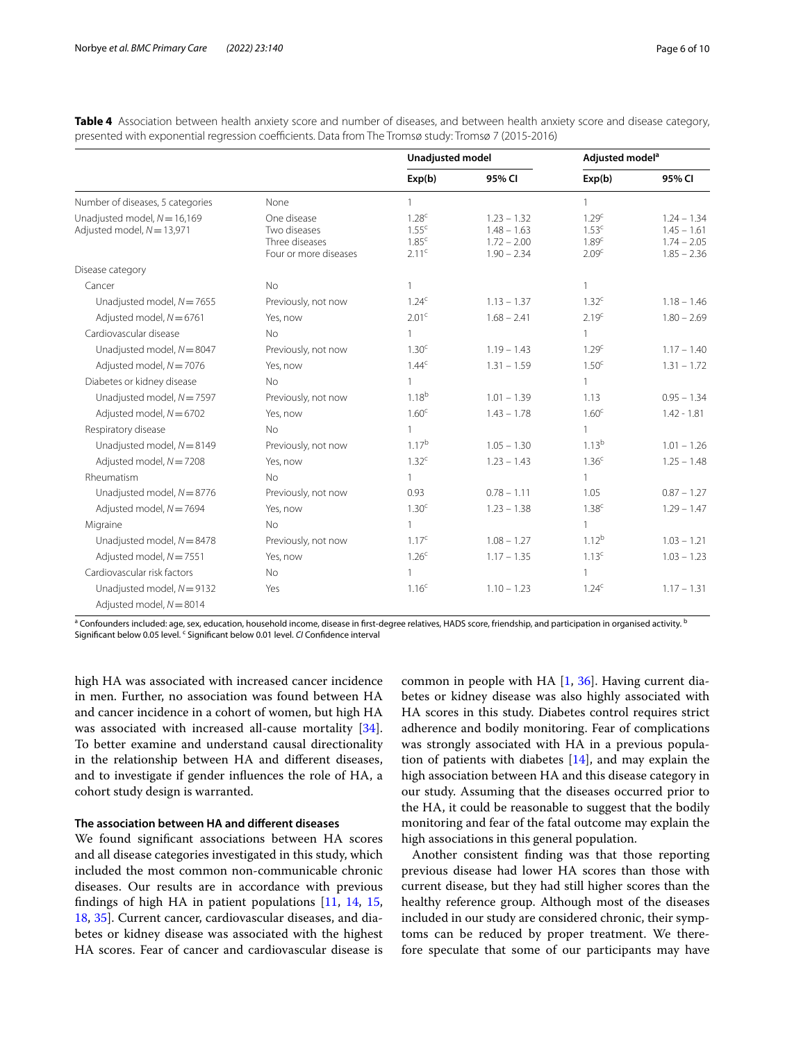|                                                                |                                                                        | <b>Unadjusted model</b>                                                          |                                                                  | Adjusted model <sup>a</sup>                                                      |                                                                  |
|----------------------------------------------------------------|------------------------------------------------------------------------|----------------------------------------------------------------------------------|------------------------------------------------------------------|----------------------------------------------------------------------------------|------------------------------------------------------------------|
|                                                                |                                                                        | Exp(b)                                                                           | 95% CI                                                           | Exp(b)                                                                           | 95% CI                                                           |
| Number of diseases, 5 categories                               | None                                                                   | 1                                                                                |                                                                  | 1                                                                                |                                                                  |
| Unadjusted model, $N = 16,169$<br>Adjusted model, $N = 13,971$ | One disease<br>Two diseases<br>Three diseases<br>Four or more diseases | 1.28 <sup>c</sup><br>1.55 <sup>c</sup><br>1.85 <sup>c</sup><br>2.11 <sup>c</sup> | $1.23 - 1.32$<br>$1.48 - 1.63$<br>$1.72 - 2.00$<br>$1.90 - 2.34$ | 1.29 <sup>c</sup><br>1.53 <sup>c</sup><br>1.89 <sup>c</sup><br>2.09 <sup>c</sup> | $1.24 - 1.34$<br>$1.45 - 1.61$<br>$1.74 - 2.05$<br>$1.85 - 2.36$ |
| Disease category                                               |                                                                        |                                                                                  |                                                                  |                                                                                  |                                                                  |
| Cancer                                                         | No                                                                     | $\mathbf{1}$                                                                     |                                                                  | 1                                                                                |                                                                  |
| Unadjusted model, $N = 7655$                                   | Previously, not now                                                    | 1.24 <sup>c</sup>                                                                | $1.13 - 1.37$                                                    | 1.32 <sup>c</sup>                                                                | $1.18 - 1.46$                                                    |
| Adjusted model, $N = 6761$                                     | Yes, now                                                               | 2.01 <sup>c</sup>                                                                | $1.68 - 2.41$                                                    | 2.19 <sup>c</sup>                                                                | $1.80 - 2.69$                                                    |
| Cardiovascular disease                                         | <b>No</b>                                                              | $\mathbf{1}$                                                                     |                                                                  | 1                                                                                |                                                                  |
| Unadjusted model, $N = 8047$                                   | Previously, not now                                                    | 1.30 <sup>c</sup>                                                                | $1.19 - 1.43$                                                    | 1.29 <sup>c</sup>                                                                | $1.17 - 1.40$                                                    |
| Adjusted model, $N = 7076$                                     | Yes, now                                                               | 1.44 <sup>c</sup>                                                                | $1.31 - 1.59$                                                    | 1.50 <sup>c</sup>                                                                | $1.31 - 1.72$                                                    |
| Diabetes or kidney disease                                     | <b>No</b>                                                              |                                                                                  |                                                                  | $\mathbf{1}$                                                                     |                                                                  |
| Unadjusted model, $N = 7597$                                   | Previously, not now                                                    | $1.18^{b}$                                                                       | $1.01 - 1.39$                                                    | 1.13                                                                             | $0.95 - 1.34$                                                    |
| Adjusted model, $N = 6702$                                     | Yes, now                                                               | 1.60 <sup>c</sup>                                                                | $1.43 - 1.78$                                                    | 1.60 <sup>c</sup>                                                                | $1.42 - 1.81$                                                    |
| Respiratory disease                                            | No.                                                                    | $\mathbf{1}$                                                                     |                                                                  | 1                                                                                |                                                                  |
| Unadjusted model, $N = 8149$                                   | Previously, not now                                                    | 1.17 <sup>b</sup>                                                                | $1.05 - 1.30$                                                    | 1.13 <sup>b</sup>                                                                | $1.01 - 1.26$                                                    |
| Adjusted model, $N = 7208$                                     | Yes, now                                                               | 1.32 <sup>c</sup>                                                                | $1.23 - 1.43$                                                    | 1.36 <sup>c</sup>                                                                | $1.25 - 1.48$                                                    |
| Rheumatism                                                     | No                                                                     | $\mathbf{1}$                                                                     |                                                                  | $\mathbf{1}$                                                                     |                                                                  |
| Unadjusted model, $N = 8776$                                   | Previously, not now                                                    | 0.93                                                                             | $0.78 - 1.11$                                                    | 1.05                                                                             | $0.87 - 1.27$                                                    |
| Adjusted model, $N = 7694$                                     | Yes, now                                                               | 1.30 <sup>c</sup>                                                                | $1.23 - 1.38$                                                    | 1.38 <sup>c</sup>                                                                | $1.29 - 1.47$                                                    |
| Migraine                                                       | No                                                                     | $\mathbf{1}$                                                                     |                                                                  | $\mathbf{1}$                                                                     |                                                                  |
| Unadjusted model, $N = 8478$                                   | Previously, not now                                                    | 1.17 <sup>c</sup>                                                                | $1.08 - 1.27$                                                    | $1.12^{b}$                                                                       | $1.03 - 1.21$                                                    |
| Adjusted model, $N = 7551$                                     | Yes, now                                                               | 1.26 <sup>c</sup>                                                                | $1.17 - 1.35$                                                    | 1.13 <sup>c</sup>                                                                | $1.03 - 1.23$                                                    |
| Cardiovascular risk factors                                    | No.                                                                    | 1                                                                                |                                                                  | $\mathbf{1}$                                                                     |                                                                  |
| Unadjusted model, $N = 9132$<br>Adjusted model, $N = 8014$     | Yes                                                                    | 1.16 <sup>c</sup>                                                                | $1.10 - 1.23$                                                    | 1.24 <sup>c</sup>                                                                | $1.17 - 1.31$                                                    |

<span id="page-5-0"></span>**Table 4** Association between health anxiety score and number of diseases, and between health anxiety score and disease category, presented with exponential regression coefficients. Data from The Tromsø study: Tromsø 7 (2015-2016)

 $^{\rm a}$  Confounders included: age, sex, education, household income, disease in first-degree relatives, HADS score, friendship, and participation in organised activity.  $^{\rm t}$ Significant below 0.05 level. <sup>c</sup> Significant below 0.01 level. CI Confidence interval

high HA was associated with increased cancer incidence in men. Further, no association was found between HA and cancer incidence in a cohort of women, but high HA was associated with increased all-cause mortality [\[34](#page-8-27)]. To better examine and understand causal directionality in the relationship between HA and diferent diseases, and to investigate if gender infuences the role of HA, a cohort study design is warranted.

## **The association between HA and diferent diseases**

We found signifcant associations between HA scores and all disease categories investigated in this study, which included the most common non-communicable chronic diseases. Our results are in accordance with previous fndings of high HA in patient populations [\[11](#page-8-5), [14](#page-8-8), [15](#page-8-9), [18,](#page-8-12) [35](#page-8-28)]. Current cancer, cardiovascular diseases, and diabetes or kidney disease was associated with the highest HA scores. Fear of cancer and cardiovascular disease is common in people with HA [\[1](#page-7-0), [36](#page-8-29)]. Having current diabetes or kidney disease was also highly associated with HA scores in this study. Diabetes control requires strict adherence and bodily monitoring. Fear of complications was strongly associated with HA in a previous population of patients with diabetes [\[14](#page-8-8)], and may explain the high association between HA and this disease category in our study. Assuming that the diseases occurred prior to the HA, it could be reasonable to suggest that the bodily monitoring and fear of the fatal outcome may explain the high associations in this general population.

Another consistent fnding was that those reporting previous disease had lower HA scores than those with current disease, but they had still higher scores than the healthy reference group. Although most of the diseases included in our study are considered chronic, their symptoms can be reduced by proper treatment. We therefore speculate that some of our participants may have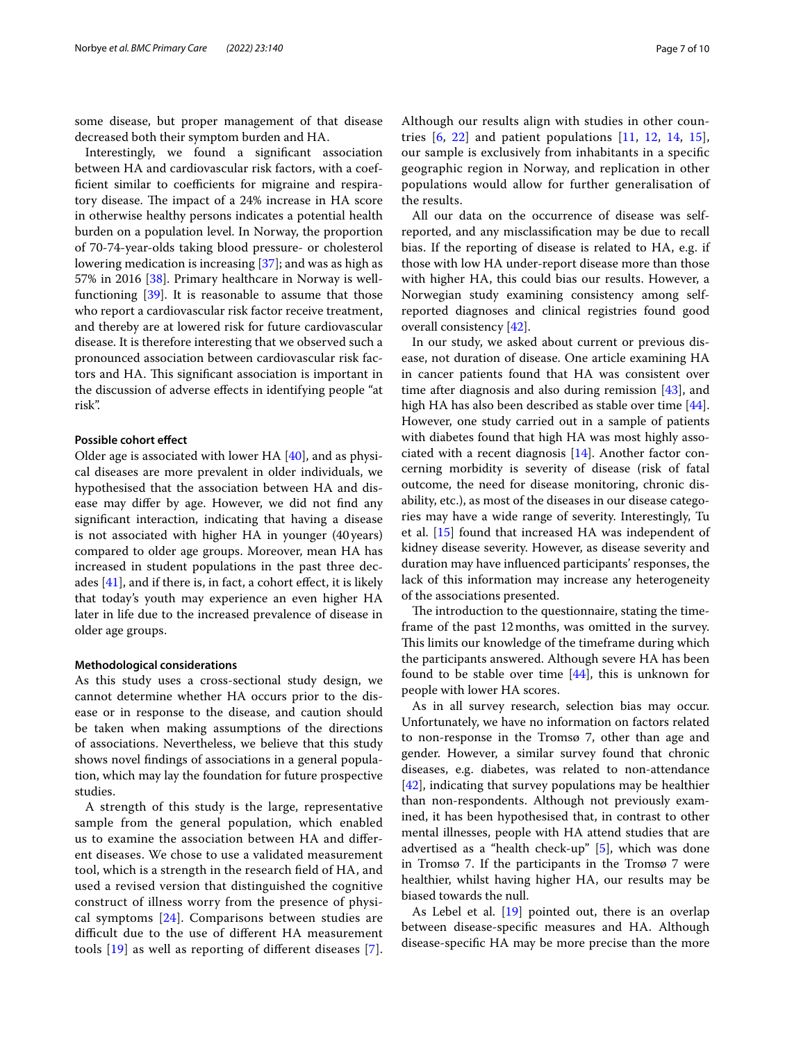some disease, but proper management of that disease decreased both their symptom burden and HA.

Interestingly, we found a signifcant association between HA and cardiovascular risk factors, with a coefficient similar to coefficients for migraine and respiratory disease. The impact of a 24% increase in HA score in otherwise healthy persons indicates a potential health burden on a population level. In Norway, the proportion of 70-74-year-olds taking blood pressure- or cholesterol lowering medication is increasing [[37\]](#page-8-30); and was as high as 57% in 2016 [[38](#page-8-31)]. Primary healthcare in Norway is wellfunctioning [[39\]](#page-8-32). It is reasonable to assume that those who report a cardiovascular risk factor receive treatment, and thereby are at lowered risk for future cardiovascular disease. It is therefore interesting that we observed such a pronounced association between cardiovascular risk factors and HA. This significant association is important in the discussion of adverse efects in identifying people "at risk".

#### **Possible cohort efect**

Older age is associated with lower HA [\[40\]](#page-8-33), and as physical diseases are more prevalent in older individuals, we hypothesised that the association between HA and disease may difer by age. However, we did not fnd any signifcant interaction, indicating that having a disease is not associated with higher HA in younger (40 years) compared to older age groups. Moreover, mean HA has increased in student populations in the past three decades  $[41]$  $[41]$ , and if there is, in fact, a cohort effect, it is likely that today's youth may experience an even higher HA later in life due to the increased prevalence of disease in older age groups.

#### **Methodological considerations**

As this study uses a cross-sectional study design, we cannot determine whether HA occurs prior to the disease or in response to the disease, and caution should be taken when making assumptions of the directions of associations. Nevertheless, we believe that this study shows novel fndings of associations in a general population, which may lay the foundation for future prospective studies.

A strength of this study is the large, representative sample from the general population, which enabled us to examine the association between HA and diferent diseases. We chose to use a validated measurement tool, which is a strength in the research feld of HA, and used a revised version that distinguished the cognitive construct of illness worry from the presence of physical symptoms [[24\]](#page-8-18). Comparisons between studies are difcult due to the use of diferent HA measurement tools [[19](#page-8-13)] as well as reporting of diferent diseases [[7\]](#page-8-1). Although our results align with studies in other countries  $[6, 22]$  $[6, 22]$  $[6, 22]$  $[6, 22]$  and patient populations  $[11, 12, 14, 15]$  $[11, 12, 14, 15]$  $[11, 12, 14, 15]$  $[11, 12, 14, 15]$  $[11, 12, 14, 15]$  $[11, 12, 14, 15]$  $[11, 12, 14, 15]$  $[11, 12, 14, 15]$ , our sample is exclusively from inhabitants in a specifc geographic region in Norway, and replication in other populations would allow for further generalisation of the results.

All our data on the occurrence of disease was selfreported, and any misclassifcation may be due to recall bias. If the reporting of disease is related to HA, e.g. if those with low HA under-report disease more than those with higher HA, this could bias our results. However, a Norwegian study examining consistency among selfreported diagnoses and clinical registries found good overall consistency [[42](#page-8-35)].

In our study, we asked about current or previous disease, not duration of disease. One article examining HA in cancer patients found that HA was consistent over time after diagnosis and also during remission [[43\]](#page-8-36), and high HA has also been described as stable over time [\[44](#page-9-0)]. However, one study carried out in a sample of patients with diabetes found that high HA was most highly associated with a recent diagnosis [\[14\]](#page-8-8). Another factor concerning morbidity is severity of disease (risk of fatal outcome, the need for disease monitoring, chronic disability, etc.), as most of the diseases in our disease categories may have a wide range of severity. Interestingly, Tu et al. [[15\]](#page-8-9) found that increased HA was independent of kidney disease severity. However, as disease severity and duration may have infuenced participants' responses, the lack of this information may increase any heterogeneity of the associations presented.

The introduction to the questionnaire, stating the timeframe of the past 12months, was omitted in the survey. This limits our knowledge of the timeframe during which the participants answered. Although severe HA has been found to be stable over time [[44\]](#page-9-0), this is unknown for people with lower HA scores.

As in all survey research, selection bias may occur. Unfortunately, we have no information on factors related to non-response in the Tromsø 7, other than age and gender. However, a similar survey found that chronic diseases, e.g. diabetes, was related to non-attendance [[42\]](#page-8-35), indicating that survey populations may be healthier than non-respondents. Although not previously examined, it has been hypothesised that, in contrast to other mental illnesses, people with HA attend studies that are advertised as a "health check-up" [[5\]](#page-7-3), which was done in Tromsø 7. If the participants in the Tromsø 7 were healthier, whilst having higher HA, our results may be biased towards the null.

As Lebel et al. [[19](#page-8-13)] pointed out, there is an overlap between disease-specifc measures and HA. Although disease-specifc HA may be more precise than the more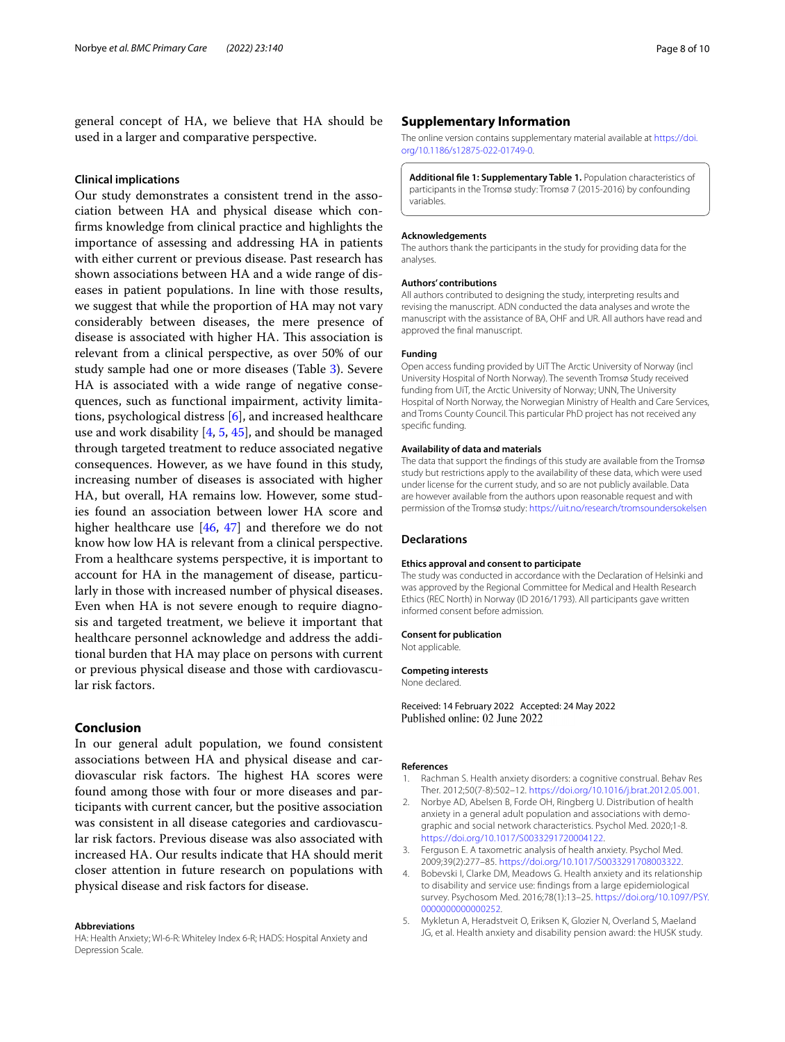general concept of HA, we believe that HA should be used in a larger and comparative perspective.

## **Clinical implications**

Our study demonstrates a consistent trend in the association between HA and physical disease which confrms knowledge from clinical practice and highlights the importance of assessing and addressing HA in patients with either current or previous disease. Past research has shown associations between HA and a wide range of diseases in patient populations. In line with those results, we suggest that while the proportion of HA may not vary considerably between diseases, the mere presence of disease is associated with higher HA. This association is relevant from a clinical perspective, as over 50% of our study sample had one or more diseases (Table [3](#page-4-0)). Severe HA is associated with a wide range of negative consequences, such as functional impairment, activity limitations, psychological distress [\[6\]](#page-8-0), and increased healthcare use and work disability  $[4, 5, 45]$  $[4, 5, 45]$  $[4, 5, 45]$  $[4, 5, 45]$  $[4, 5, 45]$ , and should be managed through targeted treatment to reduce associated negative consequences. However, as we have found in this study, increasing number of diseases is associated with higher HA, but overall, HA remains low. However, some studies found an association between lower HA score and higher healthcare use [\[46,](#page-9-2) [47\]](#page-9-3) and therefore we do not know how low HA is relevant from a clinical perspective. From a healthcare systems perspective, it is important to account for HA in the management of disease, particularly in those with increased number of physical diseases. Even when HA is not severe enough to require diagnosis and targeted treatment, we believe it important that healthcare personnel acknowledge and address the additional burden that HA may place on persons with current or previous physical disease and those with cardiovascular risk factors.

## **Conclusion**

In our general adult population, we found consistent associations between HA and physical disease and cardiovascular risk factors. The highest HA scores were found among those with four or more diseases and participants with current cancer, but the positive association was consistent in all disease categories and cardiovascular risk factors. Previous disease was also associated with increased HA. Our results indicate that HA should merit closer attention in future research on populations with physical disease and risk factors for disease.

#### **Abbreviations**

HA: Health Anxiety; WI-6-R: Whiteley Index 6-R; HADS: Hospital Anxiety and Depression Scale.

#### **Supplementary Information**

The online version contains supplementary material available at [https://doi.](https://doi.org/10.1186/s12875-022-01749-0) [org/10.1186/s12875-022-01749-0](https://doi.org/10.1186/s12875-022-01749-0).

<span id="page-7-5"></span>**Additional fle 1: Supplementary Table 1.** Population characteristics of participants in the Tromsø study: Tromsø 7 (2015-2016) by confounding variables.

#### **Acknowledgements**

The authors thank the participants in the study for providing data for the analyses.

#### **Authors' contributions**

All authors contributed to designing the study, interpreting results and revising the manuscript. ADN conducted the data analyses and wrote the manuscript with the assistance of BA, OHF and UR. All authors have read and approved the fnal manuscript.

#### **Funding**

Open access funding provided by UiT The Arctic University of Norway (incl University Hospital of North Norway). The seventh Tromsø Study received funding from UiT, the Arctic University of Norway; UNN, The University Hospital of North Norway, the Norwegian Ministry of Health and Care Services, and Troms County Council. This particular PhD project has not received any specific funding.

#### **Availability of data and materials**

The data that support the fndings of this study are available from the Tromsø study but restrictions apply to the availability of these data, which were used under license for the current study, and so are not publicly available. Data are however available from the authors upon reasonable request and with permission of the Tromsø study: <https://uit.no/research/tromsoundersokelsen>

## **Declarations**

#### **Ethics approval and consent to participate**

The study was conducted in accordance with the Declaration of Helsinki and was approved by the Regional Committee for Medical and Health Research Ethics (REC North) in Norway (ID 2016/1793). All participants gave written informed consent before admission.

#### **Consent for publication**

Not applicable.

#### **Competing interests**

None declared.

Received: 14 February 2022 Accepted: 24 May 2022 Published online: 02 June 2022

#### **References**

- <span id="page-7-0"></span>1. Rachman S. Health anxiety disorders: a cognitive construal. Behav Res Ther. 2012;50(7-8):502–12. [https://doi.org/10.1016/j.brat.2012.05.001.](https://doi.org/10.1016/j.brat.2012.05.001)
- <span id="page-7-4"></span>2. Norbye AD, Abelsen B, Forde OH, Ringberg U. Distribution of health anxiety in a general adult population and associations with demographic and social network characteristics. Psychol Med. 2020;1-8. [https://doi.org/10.1017/S0033291720004122.](https://doi.org/10.1017/S0033291720004122)
- <span id="page-7-1"></span>3. Ferguson E. A taxometric analysis of health anxiety. Psychol Med. 2009;39(2):277–85. <https://doi.org/10.1017/S0033291708003322>.
- <span id="page-7-2"></span>4. Bobevski I, Clarke DM, Meadows G. Health anxiety and its relationship to disability and service use: fndings from a large epidemiological survey. Psychosom Med. 2016;78(1):13–25. [https://doi.org/10.1097/PSY.](https://doi.org/10.1097/PSY.0000000000000252) [0000000000000252.](https://doi.org/10.1097/PSY.0000000000000252)
- <span id="page-7-3"></span>5. Mykletun A, Heradstveit O, Eriksen K, Glozier N, Overland S, Maeland JG, et al. Health anxiety and disability pension award: the HUSK study.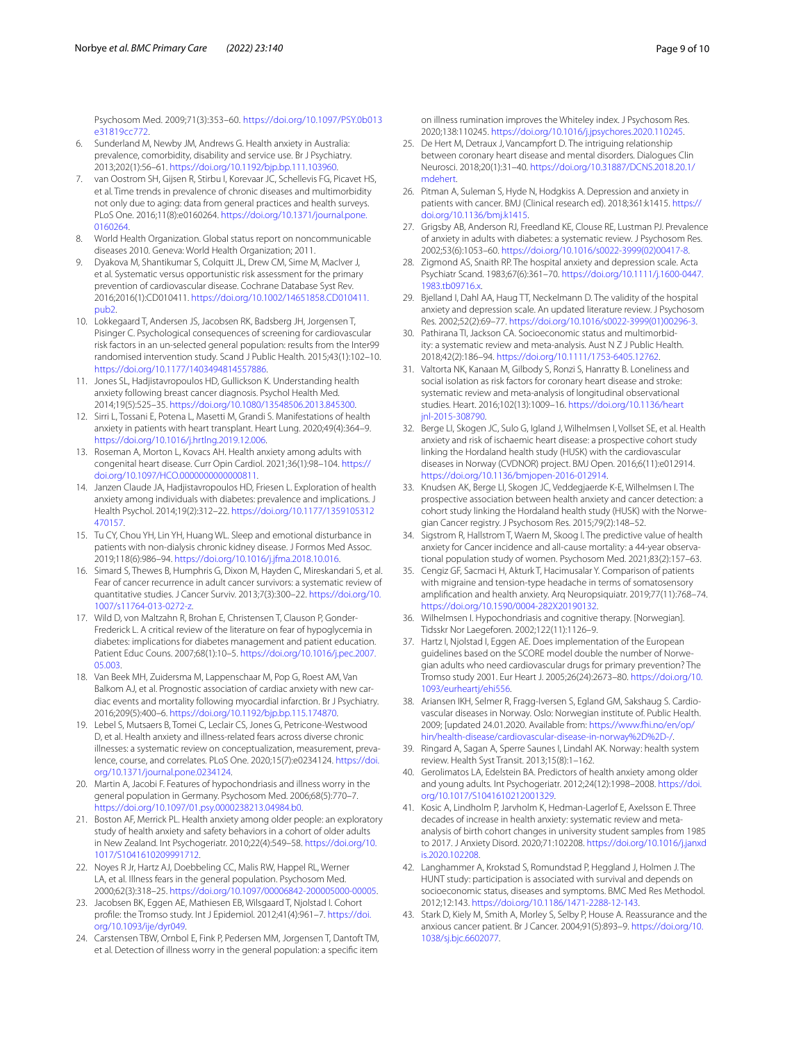Psychosom Med. 2009;71(3):353–60. [https://doi.org/10.1097/PSY.0b013](https://doi.org/10.1097/PSY.0b013e31819cc772) [e31819cc772](https://doi.org/10.1097/PSY.0b013e31819cc772).

- <span id="page-8-0"></span>6. Sunderland M, Newby JM, Andrews G. Health anxiety in Australia: prevalence, comorbidity, disability and service use. Br J Psychiatry. 2013;202(1):56–61. <https://doi.org/10.1192/bjp.bp.111.103960>.
- <span id="page-8-1"></span>7. van Oostrom SH, Gijsen R, Stirbu I, Korevaar JC, Schellevis FG, Picavet HS, et al. Time trends in prevalence of chronic diseases and multimorbidity not only due to aging: data from general practices and health surveys. PLoS One. 2016;11(8):e0160264. [https://doi.org/10.1371/journal.pone.](https://doi.org/10.1371/journal.pone.0160264) [0160264](https://doi.org/10.1371/journal.pone.0160264).
- <span id="page-8-2"></span>8. World Health Organization. Global status report on noncommunicable diseases 2010. Geneva: World Health Organization; 2011.
- <span id="page-8-3"></span>9. Dyakova M, Shantikumar S, Colquitt JL, Drew CM, Sime M, MacIver J, et al. Systematic versus opportunistic risk assessment for the primary prevention of cardiovascular disease. Cochrane Database Syst Rev. 2016;2016(1):CD010411. [https://doi.org/10.1002/14651858.CD010411.](https://doi.org/10.1002/14651858.CD010411.pub2) [pub2.](https://doi.org/10.1002/14651858.CD010411.pub2)
- <span id="page-8-4"></span>10. Lokkegaard T, Andersen JS, Jacobsen RK, Badsberg JH, Jorgensen T, Pisinger C. Psychological consequences of screening for cardiovascular risk factors in an un-selected general population: results from the Inter99 randomised intervention study. Scand J Public Health. 2015;43(1):102–10. <https://doi.org/10.1177/1403494814557886>.
- <span id="page-8-5"></span>11. Jones SL, Hadjistavropoulos HD, Gullickson K. Understanding health anxiety following breast cancer diagnosis. Psychol Health Med. 2014;19(5):525–35. <https://doi.org/10.1080/13548506.2013.845300>.
- <span id="page-8-6"></span>12. Sirri L, Tossani E, Potena L, Masetti M, Grandi S. Manifestations of health anxiety in patients with heart transplant. Heart Lung. 2020;49(4):364–9. [https://doi.org/10.1016/j.hrtlng.2019.12.006.](https://doi.org/10.1016/j.hrtlng.2019.12.006)
- <span id="page-8-7"></span>13. Roseman A, Morton L, Kovacs AH. Health anxiety among adults with congenital heart disease. Curr Opin Cardiol. 2021;36(1):98–104. [https://](https://doi.org/10.1097/HCO.0000000000000811) [doi.org/10.1097/HCO.0000000000000811.](https://doi.org/10.1097/HCO.0000000000000811)
- <span id="page-8-8"></span>14. Janzen Claude JA, Hadjistavropoulos HD, Friesen L. Exploration of health anxiety among individuals with diabetes: prevalence and implications. J Health Psychol. 2014;19(2):312–22. [https://doi.org/10.1177/1359105312](https://doi.org/10.1177/1359105312470157) [470157.](https://doi.org/10.1177/1359105312470157)
- <span id="page-8-9"></span>15. Tu CY, Chou YH, Lin YH, Huang WL. Sleep and emotional disturbance in patients with non-dialysis chronic kidney disease. J Formos Med Assoc. 2019;118(6):986–94. <https://doi.org/10.1016/j.jfma.2018.10.016>.
- <span id="page-8-10"></span>16. Simard S, Thewes B, Humphris G, Dixon M, Hayden C, Mireskandari S, et al. Fear of cancer recurrence in adult cancer survivors: a systematic review of quantitative studies. J Cancer Surviv. 2013;7(3):300–22. [https://doi.org/10.](https://doi.org/10.1007/s11764-013-0272-z) [1007/s11764-013-0272-z](https://doi.org/10.1007/s11764-013-0272-z).
- <span id="page-8-11"></span>17. Wild D, von Maltzahn R, Brohan E, Christensen T, Clauson P, Gonder-Frederick L. A critical review of the literature on fear of hypoglycemia in diabetes: implications for diabetes management and patient education. Patient Educ Couns. 2007;68(1):10–5. [https://doi.org/10.1016/j.pec.2007.](https://doi.org/10.1016/j.pec.2007.05.003) [05.003](https://doi.org/10.1016/j.pec.2007.05.003).
- <span id="page-8-12"></span>18. Van Beek MH, Zuidersma M, Lappenschaar M, Pop G, Roest AM, Van Balkom AJ, et al. Prognostic association of cardiac anxiety with new cardiac events and mortality following myocardial infarction. Br J Psychiatry. 2016;209(5):400–6. <https://doi.org/10.1192/bjp.bp.115.174870>.
- <span id="page-8-13"></span>19. Lebel S, Mutsaers B, Tomei C, Leclair CS, Jones G, Petricone-Westwood D, et al. Health anxiety and illness-related fears across diverse chronic illnesses: a systematic review on conceptualization, measurement, prevalence, course, and correlates. PLoS One. 2020;15(7):e0234124. [https://doi.](https://doi.org/10.1371/journal.pone.0234124) [org/10.1371/journal.pone.0234124](https://doi.org/10.1371/journal.pone.0234124).
- <span id="page-8-14"></span>20. Martin A, Jacobi F. Features of hypochondriasis and illness worry in the general population in Germany. Psychosom Med. 2006;68(5):770–7. [https://doi.org/10.1097/01.psy.0000238213.04984.b0.](https://doi.org/10.1097/01.psy.0000238213.04984.b0)
- <span id="page-8-15"></span>21. Boston AF, Merrick PL. Health anxiety among older people: an exploratory study of health anxiety and safety behaviors in a cohort of older adults in New Zealand. Int Psychogeriatr. 2010;22(4):549–58. [https://doi.org/10.](https://doi.org/10.1017/S1041610209991712) [1017/S1041610209991712](https://doi.org/10.1017/S1041610209991712).
- <span id="page-8-16"></span>22. Noyes R Jr, Hartz AJ, Doebbeling CC, Malis RW, Happel RL, Werner LA, et al. Illness fears in the general population. Psychosom Med. 2000;62(3):318–25. [https://doi.org/10.1097/00006842-200005000-00005.](https://doi.org/10.1097/00006842-200005000-00005)
- <span id="page-8-17"></span>23. Jacobsen BK, Eggen AE, Mathiesen EB, Wilsgaard T, Njolstad I. Cohort profle: the Tromso study. Int J Epidemiol. 2012;41(4):961–7. [https://doi.](https://doi.org/10.1093/ije/dyr049) [org/10.1093/ije/dyr049](https://doi.org/10.1093/ije/dyr049).
- <span id="page-8-18"></span>24. Carstensen TBW, Ornbol E, Fink P, Pedersen MM, Jorgensen T, Dantoft TM, et al. Detection of illness worry in the general population: a specifc item

on illness rumination improves the Whiteley index. J Psychosom Res. 2020;138:110245. <https://doi.org/10.1016/j.jpsychores.2020.110245>.

- <span id="page-8-19"></span>25. De Hert M, Detraux J, Vancampfort D. The intriguing relationship between coronary heart disease and mental disorders. Dialogues Clin Neurosci. 2018;20(1):31–40. [https://doi.org/10.31887/DCNS.2018.20.1/](https://doi.org/10.31887/DCNS.2018.20.1/mdehert) [mdehert.](https://doi.org/10.31887/DCNS.2018.20.1/mdehert)
- 26. Pitman A, Suleman S, Hyde N, Hodgkiss A. Depression and anxiety in patients with cancer. BMJ (Clinical research ed). 2018;361:k1415. [https://](https://doi.org/10.1136/bmj.k1415) [doi.org/10.1136/bmj.k1415](https://doi.org/10.1136/bmj.k1415).
- <span id="page-8-20"></span>27. Grigsby AB, Anderson RJ, Freedland KE, Clouse RE, Lustman PJ. Prevalence of anxiety in adults with diabetes: a systematic review. J Psychosom Res. 2002;53(6):1053–60. [https://doi.org/10.1016/s0022-3999\(02\)00417-8](https://doi.org/10.1016/s0022-3999(02)00417-8).
- <span id="page-8-21"></span>28. Zigmond AS, Snaith RP. The hospital anxiety and depression scale. Acta Psychiatr Scand. 1983;67(6):361–70. [https://doi.org/10.1111/j.1600-0447.](https://doi.org/10.1111/j.1600-0447.1983.tb09716.x) [1983.tb09716.x.](https://doi.org/10.1111/j.1600-0447.1983.tb09716.x)
- <span id="page-8-22"></span>29. Bjelland I, Dahl AA, Haug TT, Neckelmann D. The validity of the hospital anxiety and depression scale. An updated literature review. J Psychosom Res. 2002;52(2):69–77. [https://doi.org/10.1016/s0022-3999\(01\)00296-3](https://doi.org/10.1016/s0022-3999(01)00296-3).
- <span id="page-8-23"></span>30. Pathirana TI, Jackson CA. Socioeconomic status and multimorbidity: a systematic review and meta-analysis. Aust N Z J Public Health. 2018;42(2):186–94. [https://doi.org/10.1111/1753-6405.12762.](https://doi.org/10.1111/1753-6405.12762)
- <span id="page-8-24"></span>31. Valtorta NK, Kanaan M, Gilbody S, Ronzi S, Hanratty B. Loneliness and social isolation as risk factors for coronary heart disease and stroke: systematic review and meta-analysis of longitudinal observational studies. Heart. 2016;102(13):1009–16. [https://doi.org/10.1136/heart](https://doi.org/10.1136/heartjnl-2015-308790) inl-2015-308790.
- <span id="page-8-25"></span>32. Berge LI, Skogen JC, Sulo G, Igland J, Wilhelmsen I, Vollset SE, et al. Health anxiety and risk of ischaemic heart disease: a prospective cohort study linking the Hordaland health study (HUSK) with the cardiovascular diseases in Norway (CVDNOR) project. BMJ Open. 2016;6(11):e012914. <https://doi.org/10.1136/bmjopen-2016-012914>.
- <span id="page-8-26"></span>33. Knudsen AK, Berge LI, Skogen JC, Veddegjaerde K-E, Wilhelmsen I. The prospective association between health anxiety and cancer detection: a cohort study linking the Hordaland health study (HUSK) with the Norwegian Cancer registry. J Psychosom Res. 2015;79(2):148–52.
- <span id="page-8-27"></span>34. Sigstrom R, Hallstrom T, Waern M, Skoog I. The predictive value of health anxiety for Cancer incidence and all-cause mortality: a 44-year observational population study of women. Psychosom Med. 2021;83(2):157–63.
- <span id="page-8-28"></span>35. Cengiz GF, Sacmaci H, Akturk T, Hacimusalar Y. Comparison of patients with migraine and tension-type headache in terms of somatosensory amplifcation and health anxiety. Arq Neuropsiquiatr. 2019;77(11):768–74. [https://doi.org/10.1590/0004-282X20190132.](https://doi.org/10.1590/0004-282X20190132)
- <span id="page-8-29"></span>36. Wilhelmsen I. Hypochondriasis and cognitive therapy. [Norwegian]. Tidsskr Nor Laegeforen. 2002;122(11):1126–9.
- <span id="page-8-30"></span>37. Hartz I, Njolstad I, Eggen AE. Does implementation of the European guidelines based on the SCORE model double the number of Norwegian adults who need cardiovascular drugs for primary prevention? The Tromso study 2001. Eur Heart J. 2005;26(24):2673–80. [https://doi.org/10.](https://doi.org/10.1093/eurheartj/ehi556) [1093/eurheartj/ehi556](https://doi.org/10.1093/eurheartj/ehi556).
- <span id="page-8-31"></span>38. Ariansen IKH, Selmer R, Fragg-Iversen S, Egland GM, Sakshaug S. Cardiovascular diseases in Norway. Oslo: Norwegian institute of. Public Health. 2009; [updated 24.01.2020. Available from: [https://www.fhi.no/en/op/](https://www.fhi.no/en/op/hin/health-disease/cardiovascular-disease-in-norway%2D%2D-/) [hin/health-disease/cardiovascular-disease-in-norway%2D%2D-/.](https://www.fhi.no/en/op/hin/health-disease/cardiovascular-disease-in-norway%2D%2D-/)
- <span id="page-8-32"></span>39. Ringard A, Sagan A, Sperre Saunes I, Lindahl AK. Norway: health system review. Health Syst Transit. 2013;15(8):1–162.
- <span id="page-8-33"></span>40. Gerolimatos LA, Edelstein BA. Predictors of health anxiety among older and young adults. Int Psychogeriatr. 2012;24(12):1998–2008. [https://doi.](https://doi.org/10.1017/S1041610212001329) [org/10.1017/S1041610212001329.](https://doi.org/10.1017/S1041610212001329)
- <span id="page-8-34"></span>41. Kosic A, Lindholm P, Jarvholm K, Hedman-Lagerlof E, Axelsson E. Three decades of increase in health anxiety: systematic review and metaanalysis of birth cohort changes in university student samples from 1985 to 2017. J Anxiety Disord. 2020;71:102208. [https://doi.org/10.1016/j.janxd](https://doi.org/10.1016/j.janxdis.2020.102208) [is.2020.102208](https://doi.org/10.1016/j.janxdis.2020.102208).
- <span id="page-8-35"></span>42. Langhammer A, Krokstad S, Romundstad P, Heggland J, Holmen J. The HUNT study: participation is associated with survival and depends on socioeconomic status, diseases and symptoms. BMC Med Res Methodol. 2012;12:143.<https://doi.org/10.1186/1471-2288-12-143>.
- <span id="page-8-36"></span>43. Stark D, Kiely M, Smith A, Morley S, Selby P, House A. Reassurance and the anxious cancer patient. Br J Cancer. 2004;91(5):893–9. [https://doi.org/10.](https://doi.org/10.1038/sj.bjc.6602077) [1038/sj.bjc.6602077.](https://doi.org/10.1038/sj.bjc.6602077)